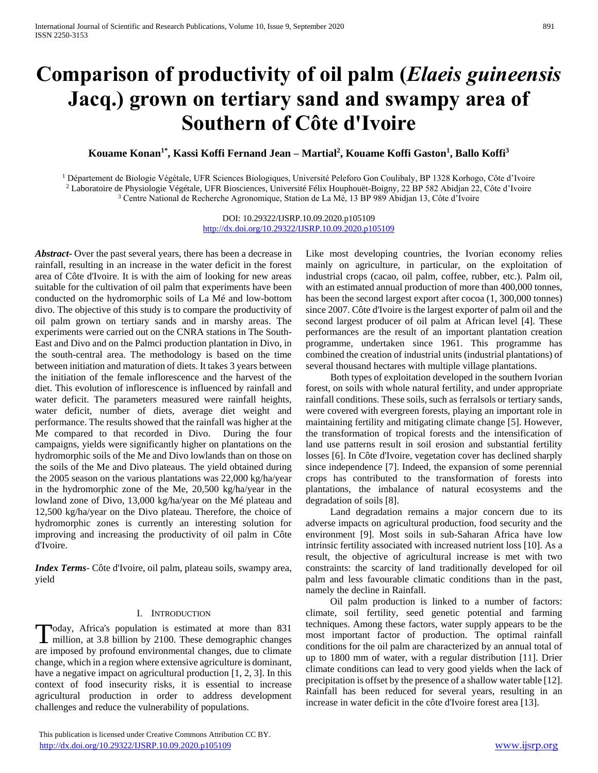# **Comparison of productivity of oil palm (***Elaeis guineensis*  **Jacq.) grown on tertiary sand and swampy area of Southern of Côte d'Ivoire**

# **Kouame Konan1\*, Kassi Koffi Fernand Jean – Martial<sup>2</sup> , Kouame Koffi Gaston<sup>1</sup> , Ballo Koffi<sup>3</sup>**

<sup>1</sup> Département de Biologie Végétale, UFR Sciences Biologiques, Université Peleforo Gon Coulibaly, BP 1328 Korhogo, Côte d'Ivoire <sup>2</sup> Laboratoire de Physiologie Végétale, UFR Biosciences, Université Félix Houphouët-Boigny, 22 BP 582 Abidjan 22, Côte d'Ivoire <sup>3</sup> Centre National de Recherche Agronomique, Station de La Mé, 13 BP 989 Abidjan 13, Côte d'Ivoire

> DOI: 10.29322/IJSRP.10.09.2020.p105109 <http://dx.doi.org/10.29322/IJSRP.10.09.2020.p105109>

*Abstract***-** Over the past several years, there has been a decrease in rainfall, resulting in an increase in the water deficit in the forest area of Côte d'Ivoire. It is with the aim of looking for new areas suitable for the cultivation of oil palm that experiments have been conducted on the hydromorphic soils of La Mé and low-bottom divo. The objective of this study is to compare the productivity of oil palm grown on tertiary sands and in marshy areas. The experiments were carried out on the CNRA stations in The South-East and Divo and on the Palmci production plantation in Divo, in the south-central area. The methodology is based on the time between initiation and maturation of diets. It takes 3 years between the initiation of the female inflorescence and the harvest of the diet. This evolution of inflorescence is influenced by rainfall and water deficit. The parameters measured were rainfall heights, water deficit, number of diets, average diet weight and performance. The results showed that the rainfall was higher at the Me compared to that recorded in Divo. During the four campaigns, yields were significantly higher on plantations on the hydromorphic soils of the Me and Divo lowlands than on those on the soils of the Me and Divo plateaus. The yield obtained during the 2005 season on the various plantations was 22,000 kg/ha/year in the hydromorphic zone of the Me, 20,500 kg/ha/year in the lowland zone of Divo, 13,000 kg/ha/year on the Mé plateau and 12,500 kg/ha/year on the Divo plateau. Therefore, the choice of hydromorphic zones is currently an interesting solution for improving and increasing the productivity of oil palm in Côte d'Ivoire.

*Index Terms*- Côte d'Ivoire, oil palm, plateau soils, swampy area, yield

#### I. INTRODUCTION

oday, Africa's population is estimated at more than 831 Today, Africa's population is estimated at more than 831 million, at 3.8 billion by 2100. These demographic changes are imposed by profound environmental changes, due to climate change, which in a region where extensive agriculture is dominant, have a negative impact on agricultural production [1, 2, 3]. In this context of food insecurity risks, it is essential to increase agricultural production in order to address development challenges and reduce the vulnerability of populations.

 This publication is licensed under Creative Commons Attribution CC BY. <http://dx.doi.org/10.29322/IJSRP.10.09.2020.p105109> [www.ijsrp.org](http://ijsrp.org/)

Like most developing countries, the Ivorian economy relies mainly on agriculture, in particular, on the exploitation of industrial crops (cacao, oil palm, coffee, rubber, etc.). Palm oil, with an estimated annual production of more than 400,000 tonnes, has been the second largest export after cocoa (1, 300,000 tonnes) since 2007. Côte d'Ivoire is the largest exporter of palm oil and the second largest producer of oil palm at African level [4]. These performances are the result of an important plantation creation programme, undertaken since 1961. This programme has combined the creation of industrial units (industrial plantations) of several thousand hectares with multiple village plantations.

 Both types of exploitation developed in the southern Ivorian forest, on soils with whole natural fertility, and under appropriate rainfall conditions. These soils, such as ferralsols or tertiary sands, were covered with evergreen forests, playing an important role in maintaining fertility and mitigating climate change [5]. However, the transformation of tropical forests and the intensification of land use patterns result in soil erosion and substantial fertility losses [6]. In Côte d'Ivoire, vegetation cover has declined sharply since independence [7]. Indeed, the expansion of some perennial crops has contributed to the transformation of forests into plantations, the imbalance of natural ecosystems and the degradation of soils [8].

 Land degradation remains a major concern due to its adverse impacts on agricultural production, food security and the environment [9]. Most soils in sub-Saharan Africa have low intrinsic fertility associated with increased nutrient loss [10]. As a result, the objective of agricultural increase is met with two constraints: the scarcity of land traditionally developed for oil palm and less favourable climatic conditions than in the past, namely the decline in Rainfall.

 Oil palm production is linked to a number of factors: climate, soil fertility, seed genetic potential and farming techniques. Among these factors, water supply appears to be the most important factor of production. The optimal rainfall conditions for the oil palm are characterized by an annual total of up to 1800 mm of water, with a regular distribution [11]. Drier climate conditions can lead to very good yields when the lack of precipitation is offset by the presence of a shallow water table [12]. Rainfall has been reduced for several years, resulting in an increase in water deficit in the côte d'Ivoire forest area [13].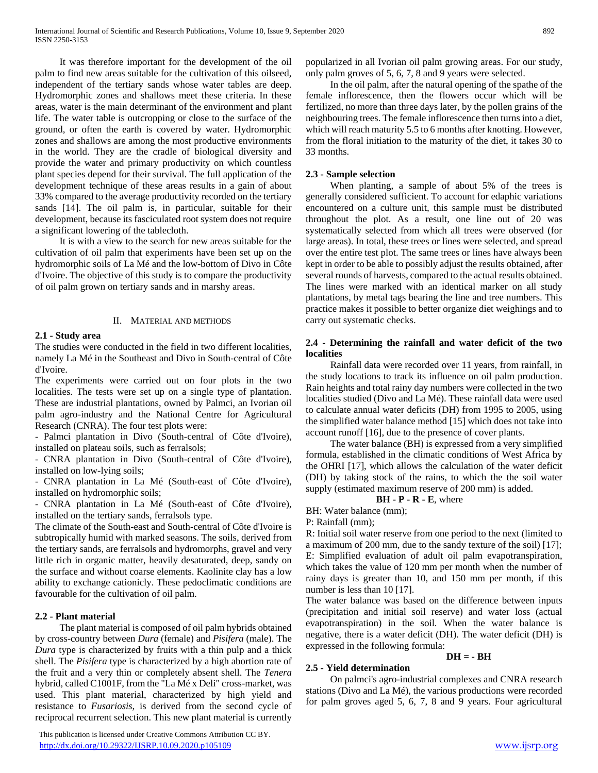It was therefore important for the development of the oil palm to find new areas suitable for the cultivation of this oilseed, independent of the tertiary sands whose water tables are deep. Hydromorphic zones and shallows meet these criteria. In these areas, water is the main determinant of the environment and plant life. The water table is outcropping or close to the surface of the ground, or often the earth is covered by water. Hydromorphic zones and shallows are among the most productive environments in the world. They are the cradle of biological diversity and provide the water and primary productivity on which countless plant species depend for their survival. The full application of the development technique of these areas results in a gain of about 33% compared to the average productivity recorded on the tertiary sands [14]. The oil palm is, in particular, suitable for their development, because its fasciculated root system does not require a significant lowering of the tablecloth.

 It is with a view to the search for new areas suitable for the cultivation of oil palm that experiments have been set up on the hydromorphic soils of La Mé and the low-bottom of Divo in Côte d'Ivoire. The objective of this study is to compare the productivity of oil palm grown on tertiary sands and in marshy areas.

#### II. MATERIAL AND METHODS

#### **2.1 - Study area**

The studies were conducted in the field in two different localities, namely La Mé in the Southeast and Divo in South-central of Côte d'Ivoire.

The experiments were carried out on four plots in the two localities. The tests were set up on a single type of plantation. These are industrial plantations, owned by Palmci, an Ivorian oil palm agro-industry and the National Centre for Agricultural Research (CNRA). The four test plots were:

- Palmci plantation in Divo (South-central of Côte d'Ivoire), installed on plateau soils, such as ferralsols;

- CNRA plantation in Divo (South-central of Côte d'Ivoire), installed on low-lying soils;

- CNRA plantation in La Mé (South-east of Côte d'Ivoire), installed on hydromorphic soils;

- CNRA plantation in La Mé (South-east of Côte d'Ivoire), installed on the tertiary sands, ferralsols type.

The climate of the South-east and South-central of Côte d'Ivoire is subtropically humid with marked seasons. The soils, derived from the tertiary sands, are ferralsols and hydromorphs, gravel and very little rich in organic matter, heavily desaturated, deep, sandy on the surface and without coarse elements. Kaolinite clay has a low ability to exchange cationicly. These pedoclimatic conditions are favourable for the cultivation of oil palm.

#### **2.2 - Plant material**

 The plant material is composed of oil palm hybrids obtained by cross-country between *Dura* (female) and *Pisifera* (male). The *Dura* type is characterized by fruits with a thin pulp and a thick shell. The *Pisifera* type is characterized by a high abortion rate of the fruit and a very thin or completely absent shell. The *Tenera* hybrid, called C1001F, from the "La Mé x Deli" cross-market, was used. This plant material, characterized by high yield and resistance to *Fusariosis*, is derived from the second cycle of reciprocal recurrent selection. This new plant material is currently

 This publication is licensed under Creative Commons Attribution CC BY. <http://dx.doi.org/10.29322/IJSRP.10.09.2020.p105109> [www.ijsrp.org](http://ijsrp.org/)

popularized in all Ivorian oil palm growing areas. For our study, only palm groves of 5, 6, 7, 8 and 9 years were selected.

 In the oil palm, after the natural opening of the spathe of the female inflorescence, then the flowers occur which will be fertilized, no more than three days later, by the pollen grains of the neighbouring trees. The female inflorescence then turns into a diet, which will reach maturity 5.5 to 6 months after knotting. However, from the floral initiation to the maturity of the diet, it takes 30 to 33 months.

#### **2.3 - Sample selection**

 When planting, a sample of about 5% of the trees is generally considered sufficient. To account for edaphic variations encountered on a culture unit, this sample must be distributed throughout the plot. As a result, one line out of 20 was systematically selected from which all trees were observed (for large areas). In total, these trees or lines were selected, and spread over the entire test plot. The same trees or lines have always been kept in order to be able to possibly adjust the results obtained, after several rounds of harvests, compared to the actual results obtained. The lines were marked with an identical marker on all study plantations, by metal tags bearing the line and tree numbers. This practice makes it possible to better organize diet weighings and to carry out systematic checks.

## **2.4 - Determining the rainfall and water deficit of the two localities**

 Rainfall data were recorded over 11 years, from rainfall, in the study locations to track its influence on oil palm production. Rain heights and total rainy day numbers were collected in the two localities studied (Divo and La Mé). These rainfall data were used to calculate annual water deficits (DH) from 1995 to 2005, using the simplified water balance method [15] which does not take into account runoff [16], due to the presence of cover plants.

 The water balance (BH) is expressed from a very simplified formula, established in the climatic conditions of West Africa by the OHRI [17], which allows the calculation of the water deficit (DH) by taking stock of the rains, to which the the soil water supply (estimated maximum reserve of 200 mm) is added.

## **BH - P - R - E**, where

BH: Water balance (mm);

**2.5 - Yield determination**

P: Rainfall (mm);

R: Initial soil water reserve from one period to the next (limited to a maximum of 200 mm, due to the sandy texture of the soil) [17]; E: Simplified evaluation of adult oil palm evapotranspiration, which takes the value of 120 mm per month when the number of rainy days is greater than 10, and 150 mm per month, if this number is less than 10 [17].

The water balance was based on the difference between inputs (precipitation and initial soil reserve) and water loss (actual evapotranspiration) in the soil. When the water balance is negative, there is a water deficit (DH). The water deficit (DH) is expressed in the following formula:

#### **DH = - BH**

 On palmci's agro-industrial complexes and CNRA research stations (Divo and La Mé), the various productions were recorded for palm groves aged 5, 6, 7, 8 and 9 years. Four agricultural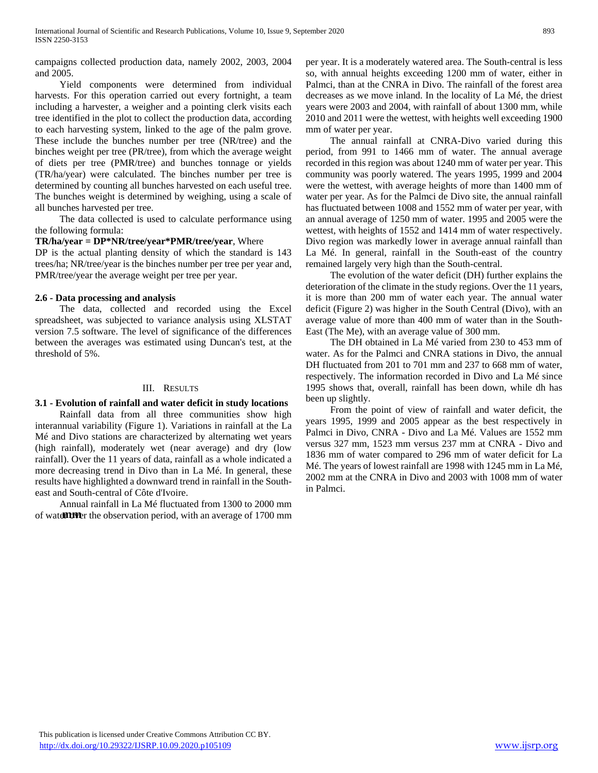campaigns collected production data, namely 2002, 2003, 2004 and 2005.

 Yield components were determined from individual harvests. For this operation carried out every fortnight, a team including a harvester, a weigher and a pointing clerk visits each tree identified in the plot to collect the production data, according to each harvesting system, linked to the age of the palm grove. These include the bunches number per tree (NR/tree) and the binches weight per tree (PR/tree), from which the average weight of diets per tree (PMR/tree) and bunches tonnage or yields (TR/ha/year) were calculated. The binches number per tree is determined by counting all bunches harvested on each useful tree. The bunches weight is determined by weighing, using a scale of all bunches harvested per tree.

 The data collected is used to calculate performance using the following formula:

#### **TR/ha/year = DP\*NR/tree/year\*PMR/tree/year**, Where

DP is the actual planting density of which the standard is 143 trees/ha; NR/tree/year is the binches number per tree per year and, PMR/tree/year the average weight per tree per year.

## **2.6 - Data processing and analysis**

 The data, collected and recorded using the Excel spreadsheet, was subjected to variance analysis using XLSTAT version 7.5 software. The level of significance of the differences between the averages was estimated using Duncan's test, at the threshold of 5%.

#### III. RESULTS

#### **3.1 - Evolution of rainfall and water deficit in study locations**

 Rainfall data from all three communities show high interannual variability (Figure 1). Variations in rainfall at the La Mé and Divo stations are characterized by alternating wet years (high rainfall), moderately wet (near average) and dry (low rainfall). Over the 11 years of data, rainfall as a whole indicated a more decreasing trend in Divo than in La Mé. In general, these results have highlighted a downward trend in rainfall in the Southeast and South-central of Côte d'Ivoire.

 Annual rainfall in La Mé fluctuated from 1300 to 2000 mm of water the observation period, with an average of 1700 mm per year. It is a moderately watered area. The South-central is less so, with annual heights exceeding 1200 mm of water, either in Palmci, than at the CNRA in Divo. The rainfall of the forest area decreases as we move inland. In the locality of La Mé, the driest years were 2003 and 2004, with rainfall of about 1300 mm, while 2010 and 2011 were the wettest, with heights well exceeding 1900 mm of water per year.

 The annual rainfall at CNRA-Divo varied during this period, from 991 to 1466 mm of water. The annual average recorded in this region was about 1240 mm of water per year. This community was poorly watered. The years 1995, 1999 and 2004 were the wettest, with average heights of more than 1400 mm of water per year. As for the Palmci de Divo site, the annual rainfall has fluctuated between 1008 and 1552 mm of water per year, with an annual average of 1250 mm of water. 1995 and 2005 were the wettest, with heights of 1552 and 1414 mm of water respectively. Divo region was markedly lower in average annual rainfall than La Mé. In general, rainfall in the South-east of the country remained largely very high than the South-central.

 The evolution of the water deficit (DH) further explains the deterioration of the climate in the study regions. Over the 11 years, it is more than 200 mm of water each year. The annual water deficit (Figure 2) was higher in the South Central (Divo), with an average value of more than 400 mm of water than in the South-East (The Me), with an average value of 300 mm.

 The DH obtained in La Mé varied from 230 to 453 mm of water. As for the Palmci and CNRA stations in Divo, the annual DH fluctuated from 201 to 701 mm and 237 to 668 mm of water, respectively. The information recorded in Divo and La Mé since 1995 shows that, overall, rainfall has been down, while dh has been up slightly.

 From the point of view of rainfall and water deficit, the years 1995, 1999 and 2005 appear as the best respectively in Palmci in Divo, CNRA - Divo and La Mé. Values are 1552 mm versus 327 mm, 1523 mm versus 237 mm at CNRA - Divo and 1836 mm of water compared to 296 mm of water deficit for La Mé. The years of lowest rainfall are 1998 with 1245 mm in La Mé, 2002 mm at the CNRA in Divo and 2003 with 1008 mm of water in Palmci.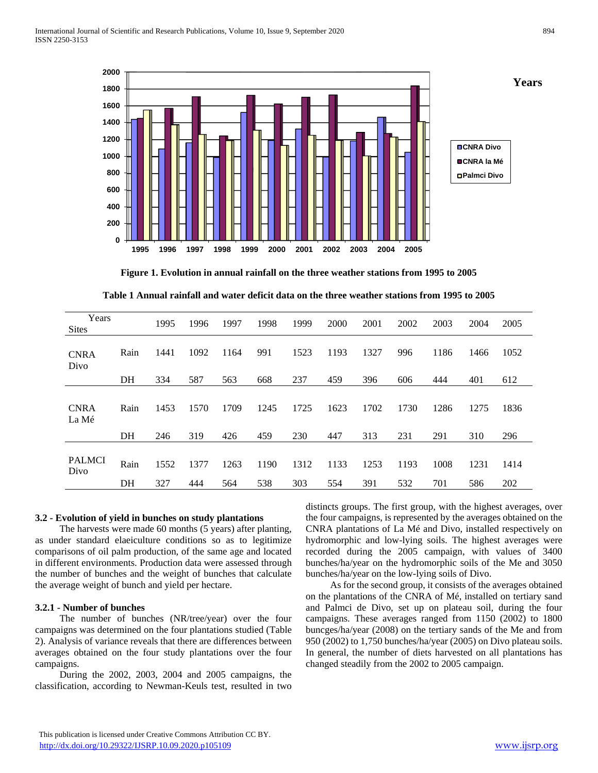

**Figure 1. Evolution in annual rainfall on the three weather stations from 1995 to 2005**

| Table 1 Annual rainfall and water deficit data on the three weather stations from 1995 to 2005 |
|------------------------------------------------------------------------------------------------|
|------------------------------------------------------------------------------------------------|

| Years<br><b>Sites</b> |      | 1995 | 1996 | 1997 | 1998 | 1999 | 2000 | 2001 | 2002 | 2003 | 2004 | 2005 |
|-----------------------|------|------|------|------|------|------|------|------|------|------|------|------|
| <b>CNRA</b><br>Divo   | Rain | 1441 | 1092 | 1164 | 991  | 1523 | 1193 | 1327 | 996  | 1186 | 1466 | 1052 |
|                       | DH   | 334  | 587  | 563  | 668  | 237  | 459  | 396  | 606  | 444  | 401  | 612  |
| <b>CNRA</b><br>La Mé  | Rain | 1453 | 1570 | 1709 | 1245 | 1725 | 1623 | 1702 | 1730 | 1286 | 1275 | 1836 |
|                       | DH   | 246  | 319  | 426  | 459  | 230  | 447  | 313  | 231  | 291  | 310  | 296  |
| <b>PALMCI</b><br>Divo | Rain | 1552 | 1377 | 1263 | 1190 | 1312 | 1133 | 1253 | 1193 | 1008 | 1231 | 1414 |
|                       | DH   | 327  | 444  | 564  | 538  | 303  | 554  | 391  | 532  | 701  | 586  | 202  |

#### **3.2 - Evolution of yield in bunches on study plantations**

 The harvests were made 60 months (5 years) after planting, as under standard elaeiculture conditions so as to legitimize comparisons of oil palm production, of the same age and located in different environments. Production data were assessed through the number of bunches and the weight of bunches that calculate the average weight of bunch and yield per hectare.

#### **3.2.1 - Number of bunches**

 The number of bunches (NR/tree/year) over the four campaigns was determined on the four plantations studied (Table 2). Analysis of variance reveals that there are differences between averages obtained on the four study plantations over the four campaigns.

 During the 2002, 2003, 2004 and 2005 campaigns, the classification, according to Newman-Keuls test, resulted in two distincts groups. The first group, with the highest averages, over the four campaigns, is represented by the averages obtained on the CNRA plantations of La Mé and Divo, installed respectively on hydromorphic and low-lying soils. The highest averages were recorded during the 2005 campaign, with values of 3400 bunches/ha/year on the hydromorphic soils of the Me and 3050 bunches/ha/year on the low-lying soils of Divo.

 As for the second group, it consists of the averages obtained on the plantations of the CNRA of Mé, installed on tertiary sand and Palmci de Divo, set up on plateau soil, during the four campaigns. These averages ranged from 1150 (2002) to 1800 buncges/ha/year (2008) on the tertiary sands of the Me and from 950 (2002) to 1,750 bunches/ha/year (2005) on Divo plateau soils. In general, the number of diets harvested on all plantations has changed steadily from the 2002 to 2005 campaign.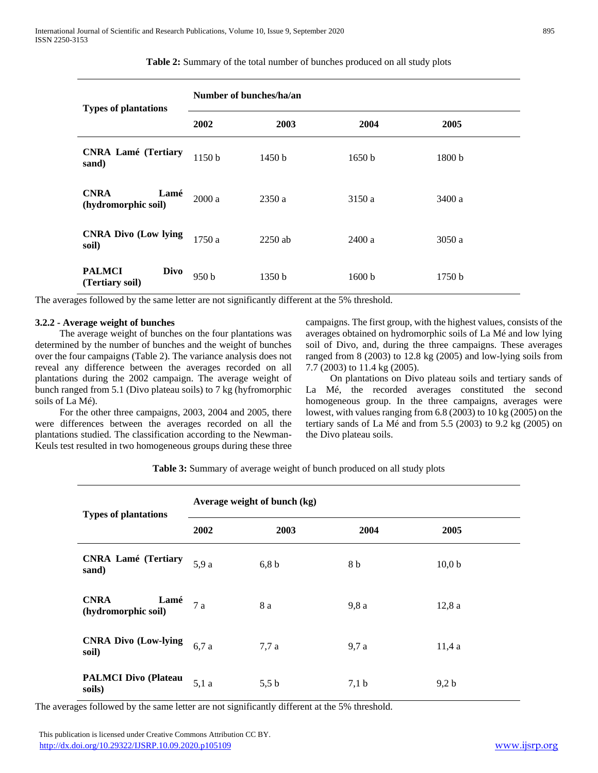| <b>Types of plantations</b>                     | Number of bunches/ha/an |                   |        |                   |  |  |  |
|-------------------------------------------------|-------------------------|-------------------|--------|-------------------|--|--|--|
|                                                 | 2002                    | 2003              | 2004   | 2005              |  |  |  |
| <b>CNRA Lamé (Tertiary</b><br>sand)             | 1150b                   | 1450 h            | 1650 b | 1800 <sub>b</sub> |  |  |  |
| <b>CNRA</b><br>Lamé<br>(hydromorphic soil)      | 2000a                   | 2350a             | 3150 a | 3400 a            |  |  |  |
| <b>CNRA Divo (Low lying</b><br>soil)            | 1750a                   | $2250$ ab         | 2400a  | 3050a             |  |  |  |
| <b>PALMCI</b><br><b>Divo</b><br>(Tertiary soil) | 950 <sub>b</sub>        | 1350 <sub>b</sub> | 1600 b | 1750 b            |  |  |  |

## **Table 2:** Summary of the total number of bunches produced on all study plots

The averages followed by the same letter are not significantly different at the 5% threshold.

## **3.2.2 - Average weight of bunches**

 The average weight of bunches on the four plantations was determined by the number of bunches and the weight of bunches over the four campaigns (Table 2). The variance analysis does not reveal any difference between the averages recorded on all plantations during the 2002 campaign. The average weight of bunch ranged from 5.1 (Divo plateau soils) to 7 kg (hyfromorphic soils of La Mé).

 For the other three campaigns, 2003, 2004 and 2005, there were differences between the averages recorded on all the plantations studied. The classification according to the Newman-Keuls test resulted in two homogeneous groups during these three

campaigns. The first group, with the highest values, consists of the averages obtained on hydromorphic soils of La Mé and low lying soil of Divo, and, during the three campaigns. These averages ranged from 8 (2003) to 12.8 kg (2005) and low-lying soils from 7.7 (2003) to 11.4 kg (2005).

 On plantations on Divo plateau soils and tertiary sands of La Mé, the recorded averages constituted the second homogeneous group. In the three campaigns, averages were lowest, with values ranging from 6.8 (2003) to 10 kg (2005) on the tertiary sands of La Mé and from 5.5 (2003) to 9.2 kg (2005) on the Divo plateau soils.

**Table 3:** Summary of average weight of bunch produced on all study plots

| <b>Types of plantations</b>                | Average weight of bunch (kg) |       |       |        |  |  |  |
|--------------------------------------------|------------------------------|-------|-------|--------|--|--|--|
|                                            | 2002                         | 2003  | 2004  | 2005   |  |  |  |
| <b>CNRA Lamé (Tertiary</b><br>sand)        | 5,9 a                        | 6,8 b | 8 b   | 10,0 b |  |  |  |
| <b>CNRA</b><br>Lamé<br>(hydromorphic soil) | 7a                           | 8 a   | 9,8 a | 12,8a  |  |  |  |
| <b>CNRA Divo (Low-lying</b><br>soil)       | 6,7 a                        | 7,7a  | 9,7 a | 11,4a  |  |  |  |
| <b>PALMCI Divo (Plateau</b><br>soils)      | 5,1a                         | 5,5 b | 7,1 b | 9,2 b  |  |  |  |

The averages followed by the same letter are not significantly different at the 5% threshold.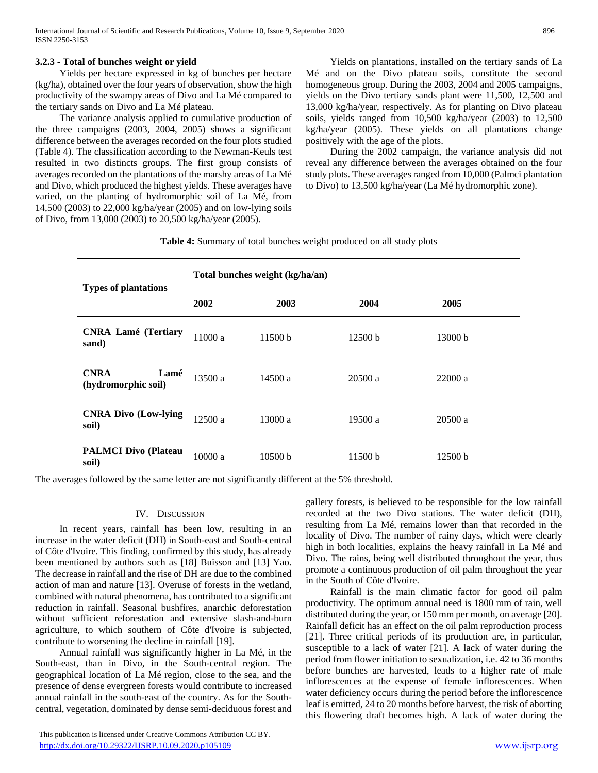## **3.2.3 - Total of bunches weight or yield**

 Yields per hectare expressed in kg of bunches per hectare (kg/ha), obtained over the four years of observation, show the high productivity of the swampy areas of Divo and La Mé compared to the tertiary sands on Divo and La Mé plateau.

 The variance analysis applied to cumulative production of the three campaigns (2003, 2004, 2005) shows a significant difference between the averages recorded on the four plots studied (Table 4). The classification according to the Newman-Keuls test resulted in two distincts groups. The first group consists of averages recorded on the plantations of the marshy areas of La Mé and Divo, which produced the highest yields. These averages have varied, on the planting of hydromorphic soil of La Mé, from 14,500 (2003) to 22,000 kg/ha/year (2005) and on low-lying soils of Divo, from 13,000 (2003) to 20,500 kg/ha/year (2005).

 Yields on plantations, installed on the tertiary sands of La Mé and on the Divo plateau soils, constitute the second homogeneous group. During the 2003, 2004 and 2005 campaigns, yields on the Divo tertiary sands plant were 11,500, 12,500 and 13,000 kg/ha/year, respectively. As for planting on Divo plateau soils, yields ranged from 10,500 kg/ha/year (2003) to 12,500 kg/ha/year (2005). These yields on all plantations change positively with the age of the plots.

 During the 2002 campaign, the variance analysis did not reveal any difference between the averages obtained on the four study plots. These averages ranged from 10,000 (Palmci plantation to Divo) to 13,500 kg/ha/year (La Mé hydromorphic zone).

**Table 4:** Summary of total bunches weight produced on all study plots

| <b>Types of plantations</b>                | Total bunches weight (kg/ha/an) |                    |         |         |  |  |  |
|--------------------------------------------|---------------------------------|--------------------|---------|---------|--|--|--|
|                                            | 2002                            | 2003               | 2004    | 2005    |  |  |  |
| <b>CNRA Lamé (Tertiary</b><br>sand)        | 11000a                          | 11500 <sub>b</sub> | 12500 b | 13000 b |  |  |  |
| <b>CNRA</b><br>Lamé<br>(hydromorphic soil) | 13500a                          | 14500a             | 20500 a | 22000 a |  |  |  |
| <b>CNRA Divo (Low-lying</b><br>soil)       | 12500a                          | 13000a             | 19500 a | 20500a  |  |  |  |
| <b>PALMCI Divo (Plateau</b><br>soil)       | 10000 a                         | 10500 b            | 11500 b | 12500 b |  |  |  |

The averages followed by the same letter are not significantly different at the 5% threshold.

#### IV. DISCUSSION

 In recent years, rainfall has been low, resulting in an increase in the water deficit (DH) in South-east and South-central of Côte d'Ivoire. This finding, confirmed by this study, has already been mentioned by authors such as [18] Buisson and [13] Yao. The decrease in rainfall and the rise of DH are due to the combined action of man and nature [13]. Overuse of forests in the wetland, combined with natural phenomena, has contributed to a significant reduction in rainfall. Seasonal bushfires, anarchic deforestation without sufficient reforestation and extensive slash-and-burn agriculture, to which southern of Côte d'Ivoire is subjected, contribute to worsening the decline in rainfall [19].

 Annual rainfall was significantly higher in La Mé, in the South-east, than in Divo, in the South-central region. The geographical location of La Mé region, close to the sea, and the presence of dense evergreen forests would contribute to increased annual rainfall in the south-east of the country. As for the Southcentral, vegetation, dominated by dense semi-deciduous forest and

 This publication is licensed under Creative Commons Attribution CC BY. <http://dx.doi.org/10.29322/IJSRP.10.09.2020.p105109> [www.ijsrp.org](http://ijsrp.org/)

gallery forests, is believed to be responsible for the low rainfall recorded at the two Divo stations. The water deficit (DH), resulting from La Mé, remains lower than that recorded in the locality of Divo. The number of rainy days, which were clearly high in both localities, explains the heavy rainfall in La Mé and Divo. The rains, being well distributed throughout the year, thus promote a continuous production of oil palm throughout the year in the South of Côte d'Ivoire.

 Rainfall is the main climatic factor for good oil palm productivity. The optimum annual need is 1800 mm of rain, well distributed during the year, or 150 mm per month, on average [20]. Rainfall deficit has an effect on the oil palm reproduction process [21]. Three critical periods of its production are, in particular, susceptible to a lack of water [21]. A lack of water during the period from flower initiation to sexualization, i.e. 42 to 36 months before bunches are harvested, leads to a higher rate of male inflorescences at the expense of female inflorescences. When water deficiency occurs during the period before the inflorescence leaf is emitted, 24 to 20 months before harvest, the risk of aborting this flowering draft becomes high. A lack of water during the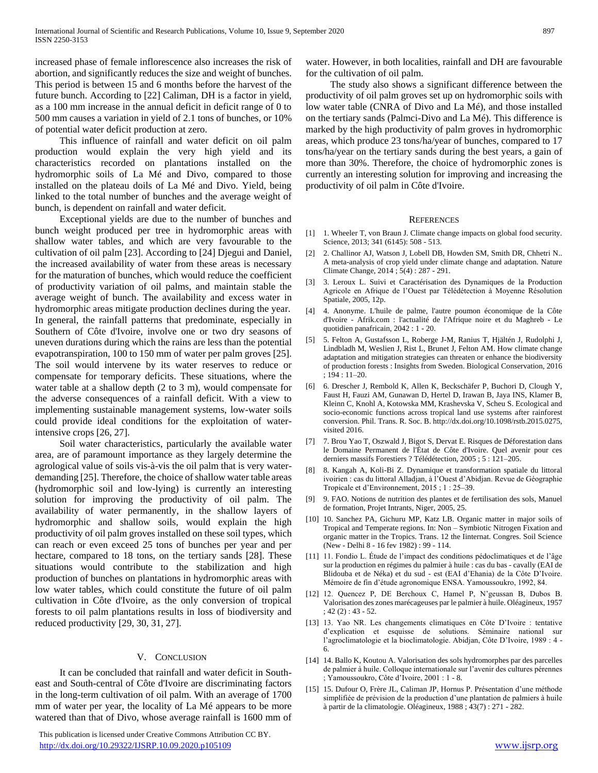increased phase of female inflorescence also increases the risk of abortion, and significantly reduces the size and weight of bunches. This period is between 15 and 6 months before the harvest of the future bunch. According to [22] Caliman, DH is a factor in yield, as a 100 mm increase in the annual deficit in deficit range of 0 to 500 mm causes a variation in yield of 2.1 tons of bunches, or 10% of potential water deficit production at zero.

 This influence of rainfall and water deficit on oil palm production would explain the very high yield and its characteristics recorded on plantations installed on the hydromorphic soils of La Mé and Divo, compared to those installed on the plateau doils of La Mé and Divo. Yield, being linked to the total number of bunches and the average weight of bunch, is dependent on rainfall and water deficit.

 Exceptional yields are due to the number of bunches and bunch weight produced per tree in hydromorphic areas with shallow water tables, and which are very favourable to the cultivation of oil palm [23]. According to [24] Djegui and Daniel, the increased availability of water from these areas is necessary for the maturation of bunches, which would reduce the coefficient of productivity variation of oil palms, and maintain stable the average weight of bunch. The availability and excess water in hydromorphic areas mitigate production declines during the year. In general, the rainfall patterns that predominate, especially in Southern of Côte d'Ivoire, involve one or two dry seasons of uneven durations during which the rains are less than the potential evapotranspiration, 100 to 150 mm of water per palm groves [25]. The soil would intervene by its water reserves to reduce or compensate for temporary deficits. These situations, where the water table at a shallow depth (2 to 3 m), would compensate for the adverse consequences of a rainfall deficit. With a view to implementing sustainable management systems, low-water soils could provide ideal conditions for the exploitation of waterintensive crops [26, 27].

 Soil water characteristics, particularly the available water area, are of paramount importance as they largely determine the agrological value of soils vis-à-vis the oil palm that is very waterdemanding [25]. Therefore, the choice of shallow water table areas (hydromorphic soil and low-lying) is currently an interesting solution for improving the productivity of oil palm. The availability of water permanently, in the shallow layers of hydromorphic and shallow soils, would explain the high productivity of oil palm groves installed on these soil types, which can reach or even exceed 25 tons of bunches per year and per hectare, compared to 18 tons, on the tertiary sands [28]. These situations would contribute to the stabilization and high production of bunches on plantations in hydromorphic areas with low water tables, which could constitute the future of oil palm cultivation in Côte d'Ivoire, as the only conversion of tropical forests to oil palm plantations results in loss of biodiversity and reduced productivity [29, 30, 31, 27].

#### V. CONCLUSION

 It can be concluded that rainfall and water deficit in Southeast and South-central of Côte d'Ivoire are discriminating factors in the long-term cultivation of oil palm. With an average of 1700 mm of water per year, the locality of La Mé appears to be more watered than that of Divo, whose average rainfall is 1600 mm of

 This publication is licensed under Creative Commons Attribution CC BY. <http://dx.doi.org/10.29322/IJSRP.10.09.2020.p105109> [www.ijsrp.org](http://ijsrp.org/)

water. However, in both localities, rainfall and DH are favourable for the cultivation of oil palm.

 The study also shows a significant difference between the productivity of oil palm groves set up on hydromorphic soils with low water table (CNRA of Divo and La Mé), and those installed on the tertiary sands (Palmci-Divo and La Mé). This difference is marked by the high productivity of palm groves in hydromorphic areas, which produce 23 tons/ha/year of bunches, compared to 17 tons/ha/year on the tertiary sands during the best years, a gain of more than 30%. Therefore, the choice of hydromorphic zones is currently an interesting solution for improving and increasing the productivity of oil palm in Côte d'Ivoire.

#### **REFERENCES**

- [1] 1. Wheeler T, von Braun J. Climate change impacts on global food security. Science, 2013; 341 (6145): 508 - 513.
- [2] 2. Challinor AJ, Watson J, Lobell DB, Howden SM, Smith DR, Chhetri N.. A meta-analysis of crop yield under climate change and adaptation. Nature Climate Change, 2014 ; 5(4) : 287 - 291.
- [3] 3. Leroux L. Suivi et Caractérisation des Dynamiques de la Production Agricole en Afrique de l'Ouest par Télédétection à Moyenne Résolution Spatiale, 2005, 12p.
- [4] 4. Anonyme. L'huile de palme, l'autre poumon économique de la Côte d'Ivoire - Afrik.com : l'actualité de l'Afrique noire et du Maghreb - Le quotidien panafricain, 2042 : 1 - 20.
- [5] 5. Felton A, Gustafsson L, Roberge J-M, Ranius T, Hjältén J, Rudolphi J, Lindbladh M, Weslien J, Rist L, Brunet J, Felton AM. How climate change adaptation and mitigation strategies can threaten or enhance the biodiversity of production forests : Insights from Sweden. Biological Conservation, 2016 ; 194 : 11–20.
- [6] 6. Drescher J, Rembold K, Allen K, Beckschäfer P, Buchori D, Clough Y, Faust H, Fauzi AM, Gunawan D, Hertel D, Irawan B, Jaya INS, Klamer B, Kleinn C, Knohl A, Kotowska MM, Krashevska V, Scheu S. Ecological and socio-economic functions across tropical land use systems after rainforest conversion. Phil. Trans. R. Soc. B. http://dx.doi.org/10.1098/rstb.2015.0275, visited 2016.
- [7] 7. Brou Yao T, Oszwald J, Bigot S, Dervat E. Risques de Déforestation dans le Domaine Permanent de l'État de Côte d'Ivoire. Quel avenir pour ces derniers massifs Forestiers ? Télédétection, 2005 ; 5 : 121–205.
- [8] 8. Kangah A, Koli-Bi Z. Dynamique et transformation spatiale du littoral ivoirien : cas du littoral Alladjan, à l'Ouest d'Abidjan. Revue de Géographie Tropicale et d'Environnement, 2015 ; 1 : 25–39.
- [9] 9. FAO. Notions de nutrition des plantes et de fertilisation des sols, Manuel de formation, Projet Intrants, Niger, 2005, 25.
- [10] 10. Sanchez PA, Gichuru MP, Katz LB. Organic matter in major soils of Tropical and Temperate regions. In: Non – Symbiotic Nitrogen Fixation and organic matter in the Tropics. Trans. 12 the Iinternat. Congres. Soil Science (New - Delhi 8 - 16 fev 1982) : 99 - 114.
- [11] 11. Fondio L. Étude de l'impact des conditions pédoclimatiques et de l'âge sur la production en régimes du palmier à huile : cas du bas - cavally (EAI de Blidouba et de Néka) et du sud - est (EAI d'Ehania) de la Côte D'Ivoire. Mémoire de fin d'étude agronomique ENSA. Yamoussoukro, 1992, 84.
- [12] 12. Quencez P, DE Berchoux C, Hamel P, N'geussan B, Dubos B. Valorisation des zones marécageuses par le palmier à huile. Oléagineux, 1957  $; 42(2): 43 - 52.$
- [13] 13. Yao NR. Les changements climatiques en Côte D'Ivoire : tentative d'explication et esquisse de solutions. Séminaire national sur l'agroclimatologie et la bioclimatologie. Abidjan, Côte D'Ivoire, 1989 : 4 - 6.
- [14] 14. Ballo K, Koutou A. Valorisation des sols hydromorphes par des parcelles de palmier à huile. Colloque internationale sur l'avenir des cultures pérennes ; Yamoussoukro, Côte d'Ivoire, 2001 : 1 - 8.
- [15] 15. Dufour O, Frère JL, Caliman JP, Hornus P. Présentation d'une méthode simplifiée de prévision de la production d'une plantation de palmiers à huile à partir de la climatologie. Oléagineux, 1988 ; 43(7) : 271 - 282.